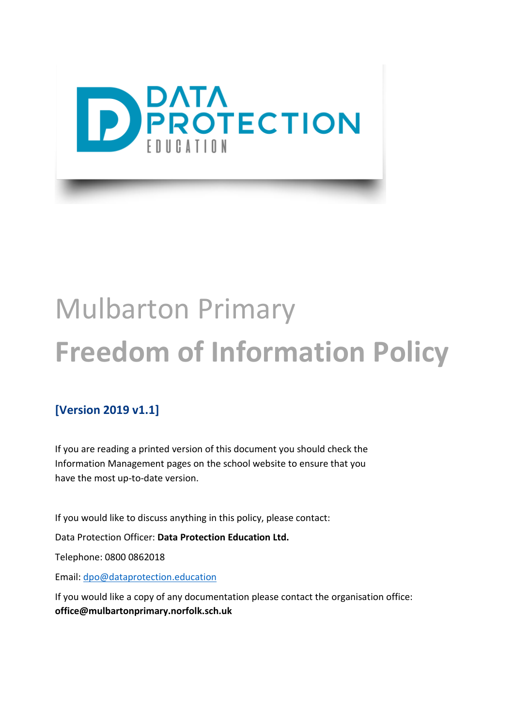

# Mulbarton Primary **Freedom of Information Policy**

#### **[Version 2019 v1.1]**

If you are reading a printed version of this document you should check the Information Management pages on the school website to ensure that you have the most up-to-date version.

If you would like to discuss anything in this policy, please contact:

Data Protection Officer: **Data Protection Education Ltd.**

Telephone: 0800 0862018

Email: [dpo@dataprotection.education](mailto:dpo@dataprotection.education)

If you would like a copy of any documentation please contact the organisation office: **office@mulbartonprimary.norfolk.sch.uk**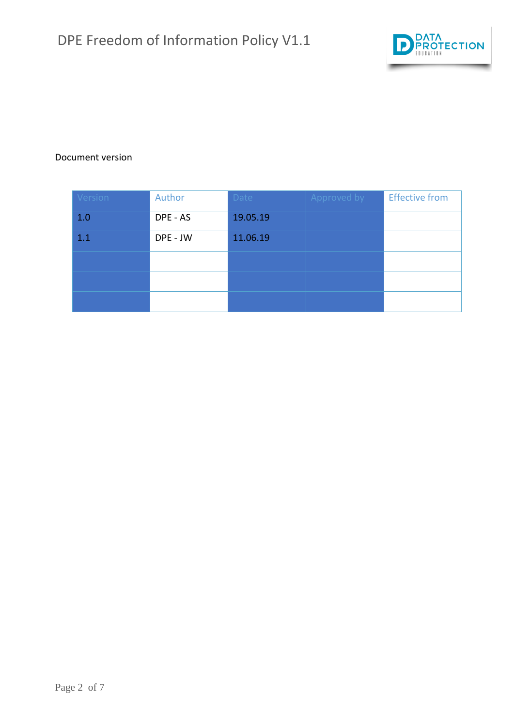

#### Document version

| Version | Author   | Date     | Approved by | <b>Effective from</b> |
|---------|----------|----------|-------------|-----------------------|
| 1.0     | DPE - AS | 19.05.19 |             |                       |
| 1.1     | DPE - JW | 11.06.19 |             |                       |
|         |          |          |             |                       |
|         |          |          |             |                       |
|         |          |          |             |                       |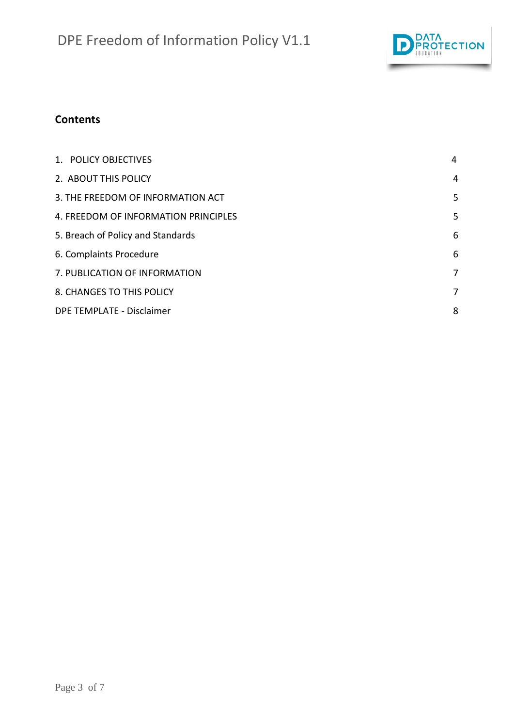

#### **Contents**

| 1. POLICY OBJECTIVES                 | 4 |
|--------------------------------------|---|
| 2. ABOUT THIS POLICY                 | 4 |
| 3. THE FREEDOM OF INFORMATION ACT    | 5 |
| 4. FREEDOM OF INFORMATION PRINCIPLES | 5 |
| 5. Breach of Policy and Standards    | 6 |
| 6. Complaints Procedure              | 6 |
| 7. PUBLICATION OF INFORMATION        | 7 |
| 8. CHANGES TO THIS POLICY            | 7 |
| DPE TEMPLATE - Disclaimer            | 8 |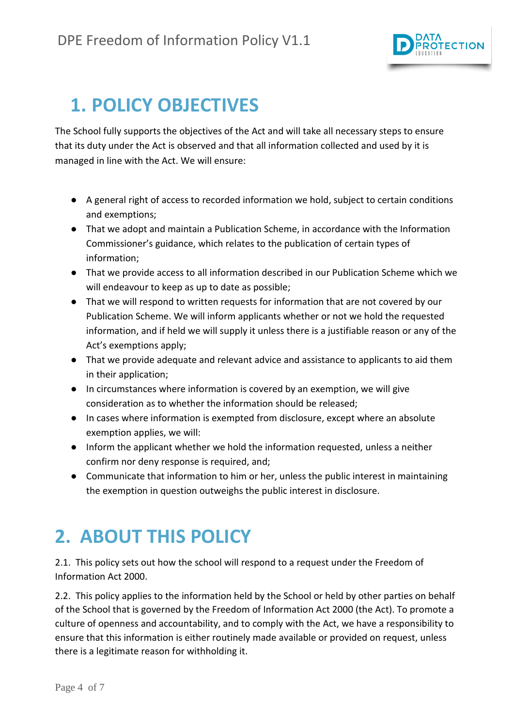

#### <span id="page-3-0"></span>**1. POLICY OBJECTIVES**

The School fully supports the objectives of the Act and will take all necessary steps to ensure that its duty under the Act is observed and that all information collected and used by it is managed in line with the Act. We will ensure:

- A general right of access to recorded information we hold, subject to certain conditions and exemptions;
- That we adopt and maintain a Publication Scheme, in accordance with the Information Commissioner's guidance, which relates to the publication of certain types of information;
- That we provide access to all information described in our Publication Scheme which we will endeavour to keep as up to date as possible;
- That we will respond to written requests for information that are not covered by our Publication Scheme. We will inform applicants whether or not we hold the requested information, and if held we will supply it unless there is a justifiable reason or any of the Act's exemptions apply;
- That we provide adequate and relevant advice and assistance to applicants to aid them in their application;
- In circumstances where information is covered by an exemption, we will give consideration as to whether the information should be released;
- In cases where information is exempted from disclosure, except where an absolute exemption applies, we will:
- Inform the applicant whether we hold the information requested, unless a neither confirm nor deny response is required, and;
- Communicate that information to him or her, unless the public interest in maintaining the exemption in question outweighs the public interest in disclosure.

## <span id="page-3-1"></span>**2. ABOUT THIS POLICY**

2.1. This policy sets out how the school will respond to a request under the Freedom of Information Act 2000.

2.2. This policy applies to the information held by the School or held by other parties on behalf of the School that is governed by the Freedom of Information Act 2000 (the Act). To promote a culture of openness and accountability, and to comply with the Act, we have a responsibility to ensure that this information is either routinely made available or provided on request, unless there is a legitimate reason for withholding it.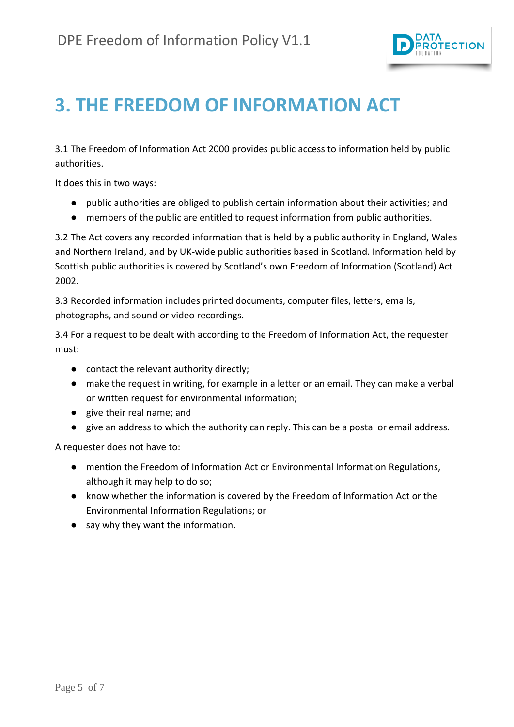

### <span id="page-4-0"></span>**3. THE FREEDOM OF INFORMATION ACT**

3.1 The Freedom of Information Act 2000 provides public access to information held by public authorities.

It does this in two ways:

- public authorities are obliged to publish certain information about their activities; and
- members of the public are entitled to request information from public authorities.

3.2 The Act covers any recorded information that is held by a public authority in England, Wales and Northern Ireland, and by UK-wide public authorities based in Scotland. Information held by Scottish public authorities is covered by Scotland's own Freedom of Information (Scotland) Act 2002.

3.3 Recorded information includes printed documents, computer files, letters, emails, photographs, and sound or video recordings.

3.4 For a request to be dealt with according to the Freedom of Information Act, the requester must:

- contact the relevant authority directly;
- make the request in writing, for example in a letter or an email. They can make a verbal or written request for environmental information;
- give their real name; and
- give an address to which the authority can reply. This can be a postal or email address.

A requester does not have to:

- mention the Freedom of Information Act or Environmental Information Regulations, although it may help to do so;
- know whether the information is covered by the Freedom of Information Act or the Environmental Information Regulations; or
- <span id="page-4-1"></span>● say why they want the information.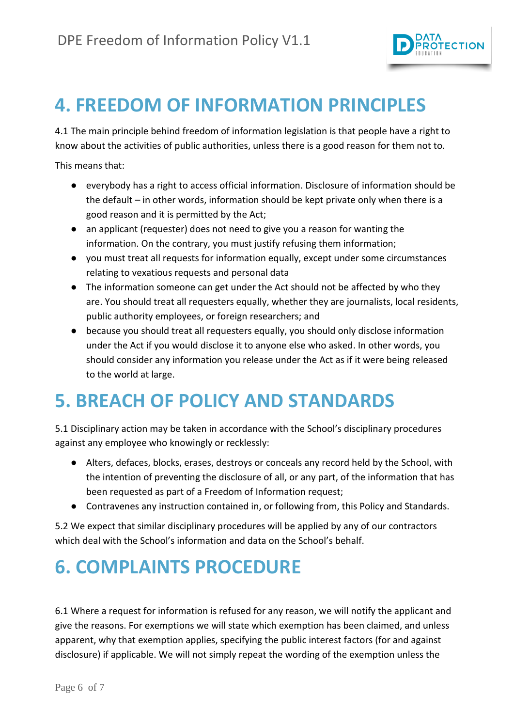

### **4. FREEDOM OF INFORMATION PRINCIPLES**

4.1 The main principle behind freedom of information legislation is that people have a right to know about the activities of public authorities, unless there is a good reason for them not to.

This means that:

- everybody has a right to access official information. Disclosure of information should be the default – in other words, information should be kept private only when there is a good reason and it is permitted by the Act;
- an applicant (requester) does not need to give you a reason for wanting the information. On the contrary, you must justify refusing them information;
- you must treat all requests for information equally, except under some circumstances relating to vexatious requests and personal data
- The information someone can get under the Act should not be affected by who they are. You should treat all requesters equally, whether they are journalists, local residents, public authority employees, or foreign researchers; and
- because you should treat all requesters equally, you should only disclose information under the Act if you would disclose it to anyone else who asked. In other words, you should consider any information you release under the Act as if it were being released to the world at large.

#### <span id="page-5-0"></span>**5. BREACH OF POLICY AND STANDARDS**

5.1 Disciplinary action may be taken in accordance with the School's disciplinary procedures against any employee who knowingly or recklessly:

- Alters, defaces, blocks, erases, destroys or conceals any record held by the School, with the intention of preventing the disclosure of all, or any part, of the information that has been requested as part of a Freedom of Information request;
- Contravenes any instruction contained in, or following from, this Policy and Standards.

5.2 We expect that similar disciplinary procedures will be applied by any of our contractors which deal with the School's information and data on the School's behalf.

## <span id="page-5-1"></span>**6. COMPLAINTS PROCEDURE**

6.1 Where a request for information is refused for any reason, we will notify the applicant and give the reasons. For exemptions we will state which exemption has been claimed, and unless apparent, why that exemption applies, specifying the public interest factors (for and against disclosure) if applicable. We will not simply repeat the wording of the exemption unless the